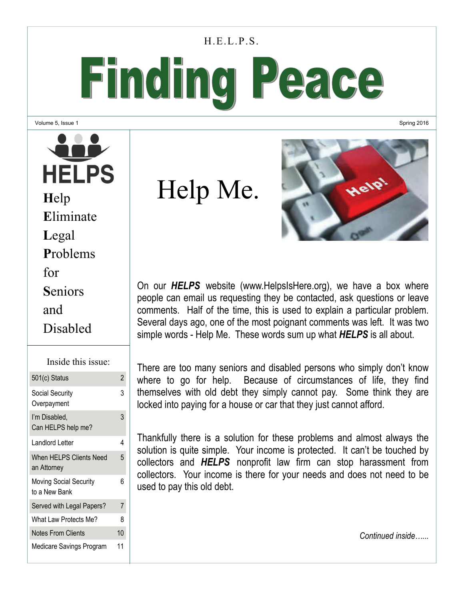#### H.E.L.P.S.

# Finding Peace

Volume 5, Issue 1

**HELPS H**elp **E**liminate **L**egal **P**roblems for **S**eniors and Disabled

| Inside this issue:                             |                |
|------------------------------------------------|----------------|
| 501(c) Status                                  | $\overline{2}$ |
| Social Security<br>Overpayment                 | 3              |
| I'm Disabled,<br>Can HELPS help me?            | 3              |
| Landlord Letter                                | 4              |
| <b>When HELPS Clients Need</b><br>an Attorney  | 5              |
| <b>Moving Social Security</b><br>to a New Bank | 6              |
| Served with Legal Papers?                      | 7              |
| What Law Protects Me?                          | 8              |
| Notes From Clients                             | 10             |
| Medicare Savings Program                       | 11             |

Help Me.



Spring 2016

On our *HELPS* website (www.HelpsIsHere.org), we have a box where people can email us requesting they be contacted, ask questions or leave comments. Half of the time, this is used to explain a particular problem. Several days ago, one of the most poignant comments was left. It was two simple words - Help Me. These words sum up what *HELPS* is all about.

There are too many seniors and disabled persons who simply don't know where to go for help. Because of circumstances of life, they find themselves with old debt they simply cannot pay. Some think they are locked into paying for a house or car that they just cannot afford.

Thankfully there is a solution for these problems and almost always the solution is quite simple. Your income is protected. It can't be touched by collectors and *HELPS* nonprofit law firm can stop harassment from collectors. Your income is there for your needs and does not need to be used to pay this old debt.

*Continued inside…...*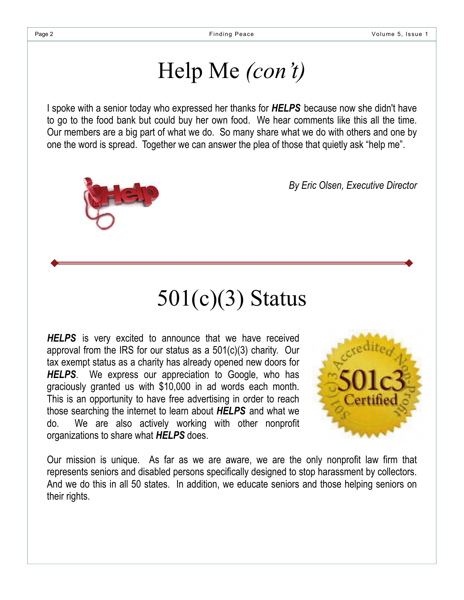### Help Me *(con't)*

I spoke with a senior today who expressed her thanks for *HELPS* because now she didn't have to go to the food bank but could buy her own food. We hear comments like this all the time. Our members are a big part of what we do. So many share what we do with others and one by one the word is spread. Together we can answer the plea of those that quietly ask "help me".



*By Eric Olsen, Executive Director*

# 501(c)(3) Status

**HELPS** is very excited to announce that we have received approval from the IRS for our status as a 501(c)(3) charity. Our tax exempt status as a charity has already opened new doors for *HELPS*. We express our appreciation to Google, who has graciously granted us with \$10,000 in ad words each month. This is an opportunity to have free advertising in order to reach those searching the internet to learn about *HELPS* and what we do. We are also actively working with other nonprofit organizations to share what *HELPS* does.



Our mission is unique. As far as we are aware, we are the only nonprofit law firm that represents seniors and disabled persons specifically designed to stop harassment by collectors. And we do this in all 50 states. In addition, we educate seniors and those helping seniors on their rights.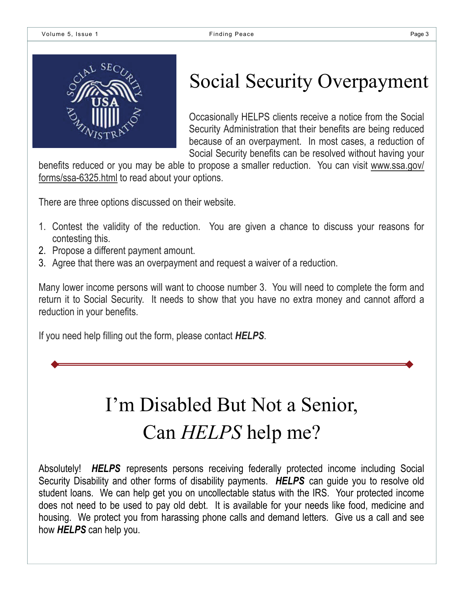

### Social Security Overpayment

Occasionally HELPS clients receive a notice from the Social Security Administration that their benefits are being reduced because of an overpayment. In most cases, a reduction of Social Security benefits can be resolved without having your

benefits reduced or you may be able to propose a smaller reduction. You can visit www.ssa.gov/ forms/ssa-6325.html to read about your options.

There are three options discussed on their website.

- 1. Contest the validity of the reduction. You are given a chance to discuss your reasons for contesting this.
- 2. Propose a different payment amount.
- 3. Agree that there was an overpayment and request a waiver of a reduction.

Many lower income persons will want to choose number 3. You will need to complete the form and return it to Social Security. It needs to show that you have no extra money and cannot afford a reduction in your benefits.

If you need help filling out the form, please contact *HELPS*.

## I'm Disabled But Not a Senior, Can *HELPS* help me?

Absolutely! *HELPS* represents persons receiving federally protected income including Social Security Disability and other forms of disability payments. *HELPS* can guide you to resolve old student loans. We can help get you on uncollectable status with the IRS. Your protected income does not need to be used to pay old debt. It is available for your needs like food, medicine and housing. We protect you from harassing phone calls and demand letters. Give us a call and see how *HELPS* can help you.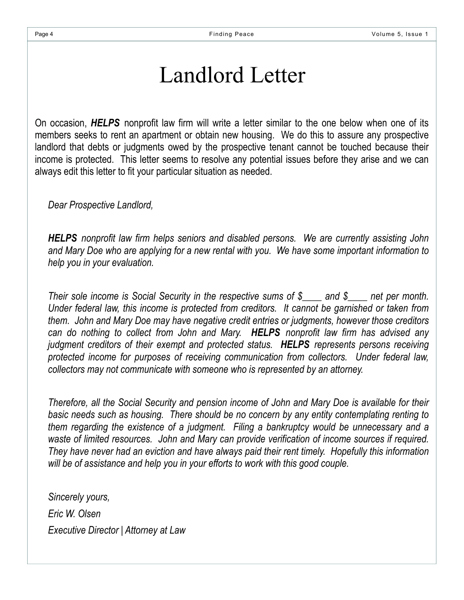### Landlord Letter

On occasion, *HELPS* nonprofit law firm will write a letter similar to the one below when one of its members seeks to rent an apartment or obtain new housing. We do this to assure any prospective landlord that debts or judgments owed by the prospective tenant cannot be touched because their income is protected. This letter seems to resolve any potential issues before they arise and we can always edit this letter to fit your particular situation as needed.

*Dear Prospective Landlord,* 

*HELPS nonprofit law firm helps seniors and disabled persons. We are currently assisting John and Mary Doe who are applying for a new rental with you. We have some important information to help you in your evaluation.* 

*Their sole income is Social Security in the respective sums of \$\_\_\_\_ and \$\_\_\_\_ net per month. Under federal law, this income is protected from creditors. It cannot be garnished or taken from them. John and Mary Doe may have negative credit entries or judgments, however those creditors can do nothing to collect from John and Mary. HELPS nonprofit law firm has advised any judgment creditors of their exempt and protected status. HELPS represents persons receiving protected income for purposes of receiving communication from collectors. Under federal law, collectors may not communicate with someone who is represented by an attorney.* 

*Therefore, all the Social Security and pension income of John and Mary Doe is available for their basic needs such as housing. There should be no concern by any entity contemplating renting to them regarding the existence of a judgment. Filing a bankruptcy would be unnecessary and a waste of limited resources. John and Mary can provide verification of income sources if required. They have never had an eviction and have always paid their rent timely. Hopefully this information will be of assistance and help you in your efforts to work with this good couple.* 

*Sincerely yours, Eric W. Olsen Executive Director | Attorney at Law*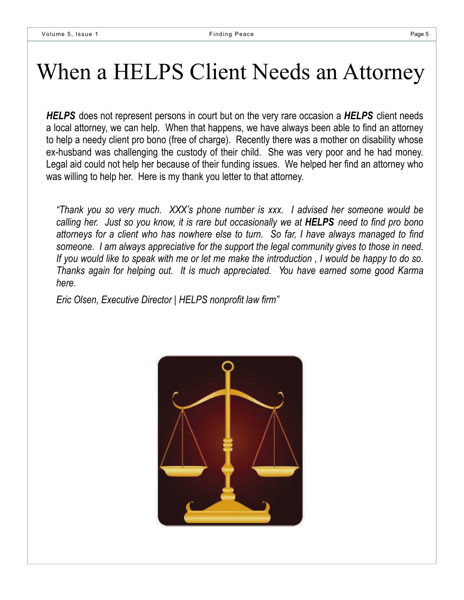## When a HELPS Client Needs an Attorney

*HELPS* does not represent persons in court but on the very rare occasion a *HELPS* client needs a local attorney, we can help. When that happens, we have always been able to find an attorney to help a needy client pro bono (free of charge). Recently there was a mother on disability whose ex-husband was challenging the custody of their child. She was very poor and he had money. Legal aid could not help her because of their funding issues. We helped her find an attorney who was willing to help her. Here is my thank you letter to that attorney.

*"Thank you so very much. XXX's phone number is xxx. I advised her someone would be calling her. Just so you know, it is rare but occasionally we at HELPS need to find pro bono attorneys for a client who has nowhere else to turn. So far, I have always managed to find someone. I am always appreciative for the support the legal community gives to those in need. If you would like to speak with me or let me make the introduction , I would be happy to do so. Thanks again for helping out. It is much appreciated. You have earned some good Karma here.* 

*Eric Olsen, Executive Director | HELPS nonprofit law firm"* 

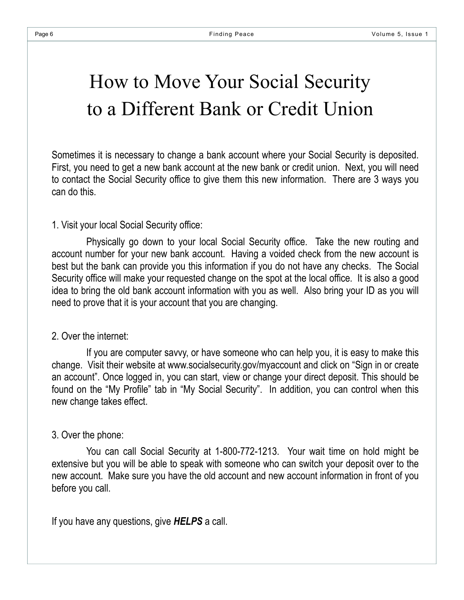### How to Move Your Social Security to a Different Bank or Credit Union

Sometimes it is necessary to change a bank account where your Social Security is deposited. First, you need to get a new bank account at the new bank or credit union. Next, you will need to contact the Social Security office to give them this new information. There are 3 ways you can do this.

#### 1. Visit your local Social Security office:

 Physically go down to your local Social Security office. Take the new routing and account number for your new bank account. Having a voided check from the new account is best but the bank can provide you this information if you do not have any checks. The Social Security office will make your requested change on the spot at the local office. It is also a good idea to bring the old bank account information with you as well. Also bring your ID as you will need to prove that it is your account that you are changing.

#### 2. Over the internet:

 If you are computer savvy, or have someone who can help you, it is easy to make this change. Visit their website at www.socialsecurity.gov/myaccount and click on "Sign in or create an account". Once logged in, you can start, view or change your direct deposit. This should be found on the "My Profile" tab in "My Social Security". In addition, you can control when this new change takes effect.

#### 3. Over the phone:

 You can call Social Security at 1-800-772-1213. Your wait time on hold might be extensive but you will be able to speak with someone who can switch your deposit over to the new account. Make sure you have the old account and new account information in front of you before you call.

If you have any questions, give *HELPS* a call.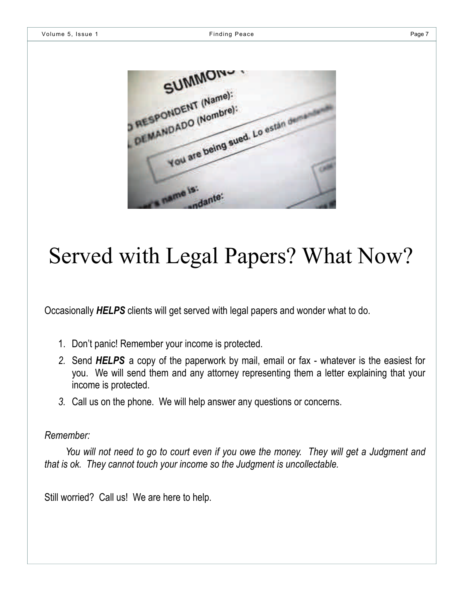| SUMMONS                                          |  |
|--------------------------------------------------|--|
| <b>RESPONDENT (Name):</b><br>DEMANDADO (Nombre): |  |
| You are being sued. Lo estan on                  |  |
|                                                  |  |
| name is:<br>adante:                              |  |

### Served with Legal Papers? What Now?

Occasionally *HELPS* clients will get served with legal papers and wonder what to do.

- 1. Don't panic! Remember your income is protected.
- *2.* Send *HELPS* a copy of the paperwork by mail, email or fax whatever is the easiest for you. We will send them and any attorney representing them a letter explaining that your income is protected.
- *3.* Call us on the phone. We will help answer any questions or concerns.

#### *Remember:*

 *You will not need to go to court even if you owe the money. They will get a Judgment and that is ok. They cannot touch your income so the Judgment is uncollectable.* 

Still worried? Call us! We are here to help.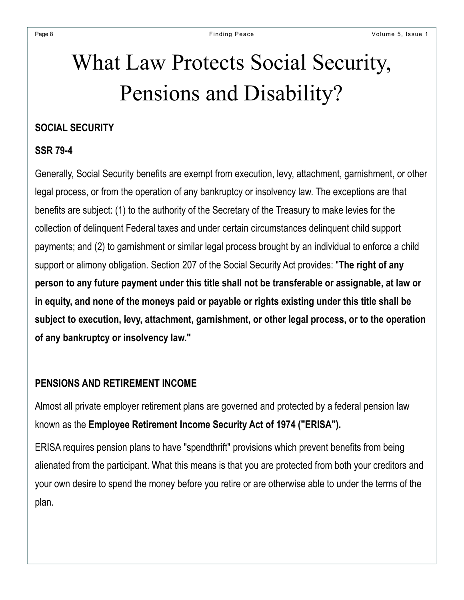# What Law Protects Social Security, Pensions and Disability?

#### **SOCIAL SECURITY**

#### **SSR 79-4**

Generally, Social Security benefits are exempt from execution, levy, attachment, garnishment, or other legal process, or from the operation of any bankruptcy or insolvency law. The exceptions are that benefits are subject: (1) to the authority of the Secretary of the Treasury to make levies for the collection of delinquent Federal taxes and under certain circumstances delinquent child support payments; and (2) to garnishment or similar legal process brought by an individual to enforce a child support or alimony obligation. Section 207 of the Social Security Act provides: "**The right of any person to any future payment under this title shall not be transferable or assignable, at law or in equity, and none of the moneys paid or payable or rights existing under this title shall be subject to execution, levy, attachment, garnishment, or other legal process, or to the operation of any bankruptcy or insolvency law."** 

#### **PENSIONS AND RETIREMENT INCOME**

Almost all private employer retirement plans are governed and protected by a federal pension law known as the **Employee Retirement Income Security Act of 1974 ("ERISA").**

ERISA requires pension plans to have "spendthrift" provisions which prevent benefits from being alienated from the participant. What this means is that you are protected from both your creditors and your own desire to spend the money before you retire or are otherwise able to under the terms of the plan.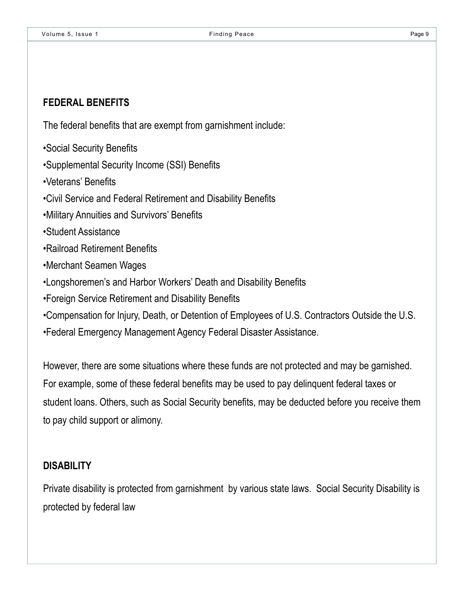#### **FEDERAL BENEFITS**

The federal benefits that are exempt from garnishment include:

- •Social Security Benefits
- •Supplemental Security Income (SSI) Benefits
- •Veterans' Benefits
- •Civil Service and Federal Retirement and Disability Benefits
- •Military Annuities and Survivors' Benefits
- •Student Assistance
- •Railroad Retirement Benefits
- •Merchant Seamen Wages
- •Longshoremen's and Harbor Workers' Death and Disability Benefits
- •Foreign Service Retirement and Disability Benefits
- •Compensation for Injury, Death, or Detention of Employees of U.S. Contractors Outside the U.S.
- •Federal Emergency Management Agency Federal Disaster Assistance.

However, there are some situations where these funds are not protected and may be garnished. For example, some of these federal benefits may be used to pay delinquent federal taxes or student loans. Others, such as Social Security benefits, may be deducted before you receive them to pay child support or alimony.

#### **DISABILITY**

Private disability is protected from garnishment by various state laws. Social Security Disability is protected by federal law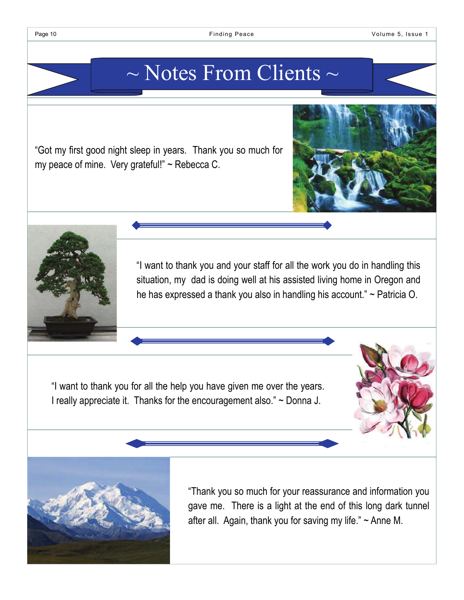### $\sim$  Notes From Clients  $\sim$

"Got my first good night sleep in years. Thank you so much for my peace of mine. Very grateful!" ~ Rebecca C.



"I want to thank you for all the help you have given me over the years. I really appreciate it. Thanks for the encouragement also." ~ Donna J.





"Thank you so much for your reassurance and information you gave me. There is a light at the end of this long dark tunnel after all. Again, thank you for saving my life."  $\sim$  Anne M.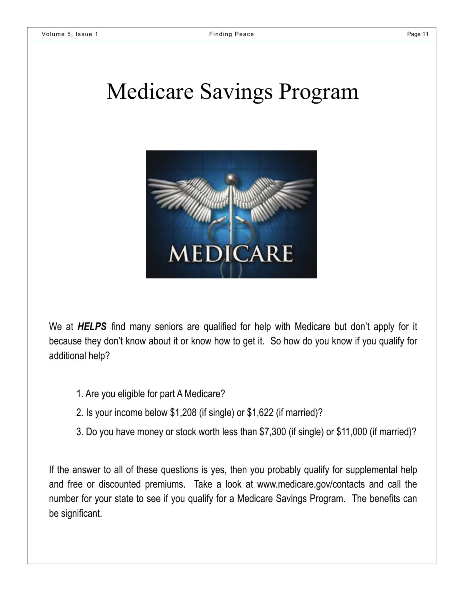### Medicare Savings Program



We at *HELPS* find many seniors are qualified for help with Medicare but don't apply for it because they don't know about it or know how to get it. So how do you know if you qualify for additional help?

- 1. Are you eligible for part A Medicare?
- 2. Is your income below \$1,208 (if single) or \$1,622 (if married)?
- 3. Do you have money or stock worth less than \$7,300 (if single) or \$11,000 (if married)?

If the answer to all of these questions is yes, then you probably qualify for supplemental help and free or discounted premiums. Take a look at www.medicare.gov/contacts and call the number for your state to see if you qualify for a Medicare Savings Program. The benefits can be significant.